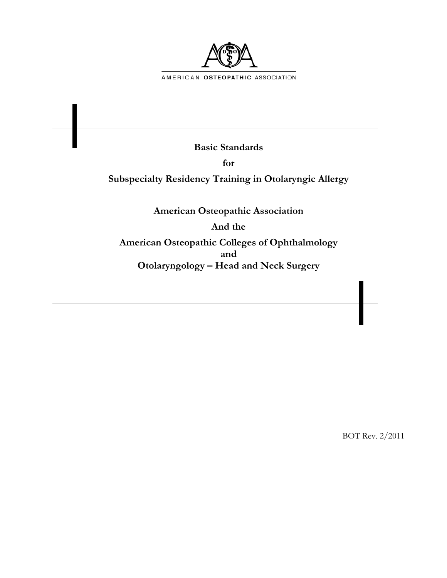

**Basic Standards** 

**for** 

**Subspecialty Residency Training in Otolaryngic Allergy** 

**American Osteopathic Association** 

**And the** 

**American Osteopathic Colleges of Ophthalmology and Otolaryngology – Head and Neck Surgery** 

BOT Rev. 2/2011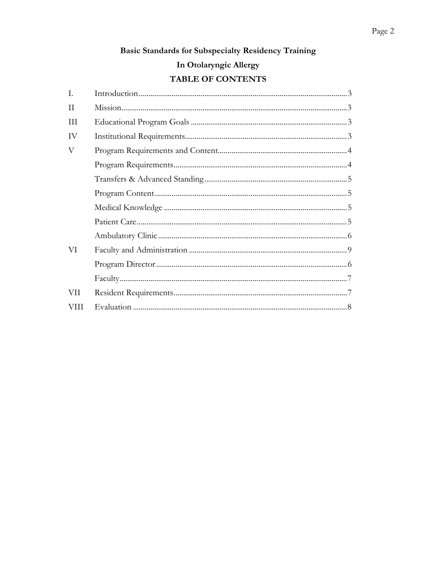# Basic Standards for Subspecialty Residency Training

# In Otolaryngic Allergy

## TABLE OF CONTENTS

| Ι.          |  |
|-------------|--|
| H           |  |
| Ш           |  |
| IV          |  |
| V           |  |
|             |  |
|             |  |
|             |  |
|             |  |
|             |  |
|             |  |
| VI          |  |
|             |  |
|             |  |
| VII         |  |
| <b>VIII</b> |  |
|             |  |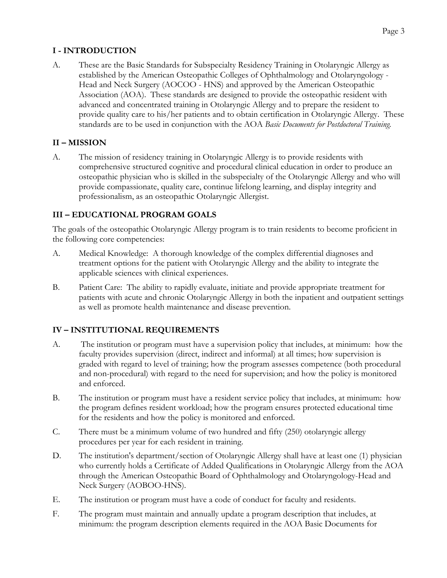### **I - INTRODUCTION**

A. These are the Basic Standards for Subspecialty Residency Training in Otolaryngic Allergy as established by the American Osteopathic Colleges of Ophthalmology and Otolaryngology - Head and Neck Surgery (AOCOO - HNS) and approved by the American Osteopathic Association (AOA). These standards are designed to provide the osteopathic resident with advanced and concentrated training in Otolaryngic Allergy and to prepare the resident to provide quality care to his/her patients and to obtain certification in Otolaryngic Allergy. These standards are to be used in conjunction with the AOA *Basic Documents for Postdoctoral Training.*

#### **II – MISSION**

A. The mission of residency training in Otolaryngic Allergy is to provide residents with comprehensive structured cognitive and procedural clinical education in order to produce an osteopathic physician who is skilled in the subspecialty of the Otolaryngic Allergy and who will provide compassionate, quality care, continue lifelong learning, and display integrity and professionalism, as an osteopathic Otolaryngic Allergist.

## **III – EDUCATIONAL PROGRAM GOALS**

The goals of the osteopathic Otolaryngic Allergy program is to train residents to become proficient in the following core competencies:

- A. Medical Knowledge: A thorough knowledge of the complex differential diagnoses and treatment options for the patient with Otolaryngic Allergy and the ability to integrate the applicable sciences with clinical experiences.
- B. Patient Care: The ability to rapidly evaluate, initiate and provide appropriate treatment for patients with acute and chronic Otolaryngic Allergy in both the inpatient and outpatient settings as well as promote health maintenance and disease prevention.

#### **IV – INSTITUTIONAL REQUIREMENTS**

- A. The institution or program must have a supervision policy that includes, at minimum: how the faculty provides supervision (direct, indirect and informal) at all times; how supervision is graded with regard to level of training; how the program assesses competence (both procedural and non-procedural) with regard to the need for supervision; and how the policy is monitored and enforced.
- B. The institution or program must have a resident service policy that includes, at minimum: how the program defines resident workload; how the program ensures protected educational time for the residents and how the policy is monitored and enforced.
- C. There must be a minimum volume of two hundred and fifty (250) otolaryngic allergy procedures per year for each resident in training.
- D. The institution's department/section of Otolaryngic Allergy shall have at least one (1) physician who currently holds a Certificate of Added Qualifications in Otolaryngic Allergy from the AOA through the American Osteopathic Board of Ophthalmology and Otolaryngology-Head and Neck Surgery (AOBOO-HNS).
- E. The institution or program must have a code of conduct for faculty and residents.
- F. The program must maintain and annually update a program description that includes, at minimum: the program description elements required in the AOA Basic Documents for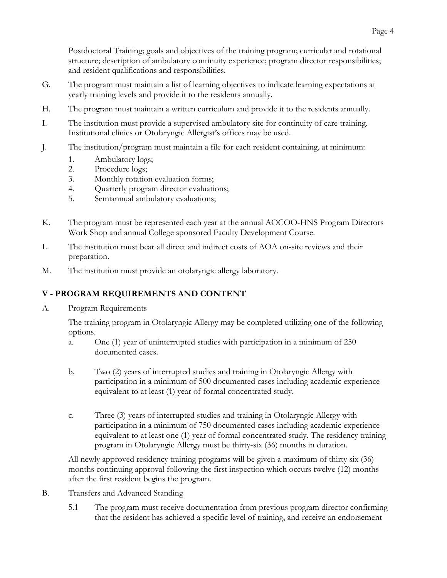Postdoctoral Training; goals and objectives of the training program; curricular and rotational structure; description of ambulatory continuity experience; program director responsibilities; and resident qualifications and responsibilities.

- G. The program must maintain a list of learning objectives to indicate learning expectations at yearly training levels and provide it to the residents annually.
- H. The program must maintain a written curriculum and provide it to the residents annually.
- I. The institution must provide a supervised ambulatory site for continuity of care training. Institutional clinics or Otolaryngic Allergist's offices may be used.
- J. The institution/program must maintain a file for each resident containing, at minimum:
	- 1. Ambulatory logs;
	- 2. Procedure logs;
	- 3. Monthly rotation evaluation forms;
	- 4. Quarterly program director evaluations;
	- 5. Semiannual ambulatory evaluations;
- K. The program must be represented each year at the annual AOCOO-HNS Program Directors Work Shop and annual College sponsored Faculty Development Course.
- L. The institution must bear all direct and indirect costs of AOA on-site reviews and their preparation.
- M. The institution must provide an otolaryngic allergy laboratory.

#### **V - PROGRAM REQUIREMENTS AND CONTENT**

A. Program Requirements

The training program in Otolaryngic Allergy may be completed utilizing one of the following options.

- a. One (1) year of uninterrupted studies with participation in a minimum of 250 documented cases.
- b. Two (2) years of interrupted studies and training in Otolaryngic Allergy with participation in a minimum of 500 documented cases including academic experience equivalent to at least (1) year of formal concentrated study.
- c. Three (3) years of interrupted studies and training in Otolaryngic Allergy with participation in a minimum of 750 documented cases including academic experience equivalent to at least one (1) year of formal concentrated study. The residency training program in Otolaryngic Allergy must be thirty-six (36) months in duration.

All newly approved residency training programs will be given a maximum of thirty six (36) months continuing approval following the first inspection which occurs twelve (12) months after the first resident begins the program.

- B. Transfers and Advanced Standing
	- 5.1 The program must receive documentation from previous program director confirming that the resident has achieved a specific level of training, and receive an endorsement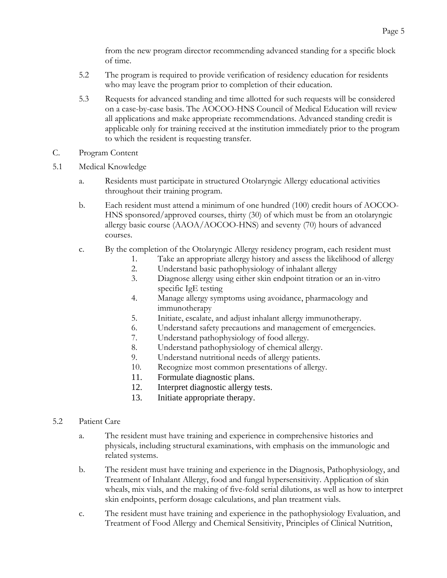from the new program director recommending advanced standing for a specific block of time.

- 5.2 The program is required to provide verification of residency education for residents who may leave the program prior to completion of their education.
- 5.3 Requests for advanced standing and time allotted for such requests will be considered on a case-by-case basis. The AOCOO-HNS Council of Medical Education will review all applications and make appropriate recommendations. Advanced standing credit is applicable only for training received at the institution immediately prior to the program to which the resident is requesting transfer.
- C. Program Content
- 5.1 Medical Knowledge
	- a. Residents must participate in structured Otolaryngic Allergy educational activities throughout their training program.
	- b. Each resident must attend a minimum of one hundred (100) credit hours of AOCOO-HNS sponsored/approved courses, thirty (30) of which must be from an otolaryngic allergy basic course (AAOA/AOCOO-HNS) and seventy (70) hours of advanced courses.
	- c. By the completion of the Otolaryngic Allergy residency program, each resident must
		- 1. Take an appropriate allergy history and assess the likelihood of allergy
		- 2. Understand basic pathophysiology of inhalant allergy
		- 3. Diagnose allergy using either skin endpoint titration or an in-vitro specific IgE testing
		- 4. Manage allergy symptoms using avoidance, pharmacology and immunotherapy
		- 5. Initiate, escalate, and adjust inhalant allergy immunotherapy.
		- 6. Understand safety precautions and management of emergencies.
		- 7. Understand pathophysiology of food allergy.
		- 8. Understand pathophysiology of chemical allergy.
		- 9. Understand nutritional needs of allergy patients.
		- 10. Recognize most common presentations of allergy.
		- 11. Formulate diagnostic plans.
		- 12. Interpret diagnostic allergy tests.
		- 13. Initiate appropriate therapy.
- 5.2 Patient Care
	- a. The resident must have training and experience in comprehensive histories and physicals, including structural examinations, with emphasis on the immunologic and related systems.
	- b. The resident must have training and experience in the Diagnosis, Pathophysiology, and Treatment of Inhalant Allergy, food and fungal hypersensitivity. Application of skin wheals, mix vials, and the making of five-fold serial dilutions, as well as how to interpret skin endpoints, perform dosage calculations, and plan treatment vials.
	- c. The resident must have training and experience in the pathophysiology Evaluation, and Treatment of Food Allergy and Chemical Sensitivity, Principles of Clinical Nutrition,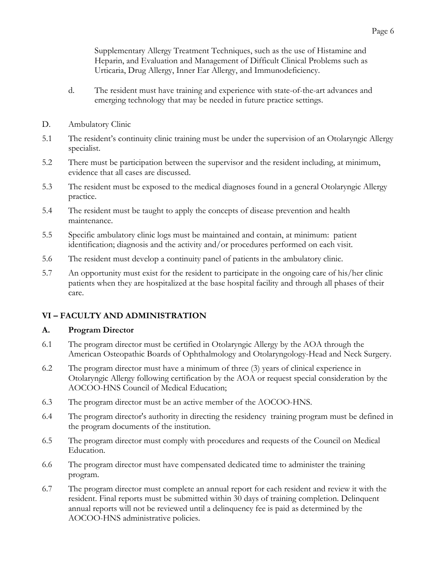Supplementary Allergy Treatment Techniques, such as the use of Histamine and Heparin, and Evaluation and Management of Difficult Clinical Problems such as Urticaria, Drug Allergy, Inner Ear Allergy, and Immunodeficiency.

- d. The resident must have training and experience with state-of-the-art advances and emerging technology that may be needed in future practice settings.
- D. Ambulatory Clinic
- 5.1 The resident's continuity clinic training must be under the supervision of an Otolaryngic Allergy specialist.
- 5.2 There must be participation between the supervisor and the resident including, at minimum, evidence that all cases are discussed.
- 5.3 The resident must be exposed to the medical diagnoses found in a general Otolaryngic Allergy practice.
- 5.4 The resident must be taught to apply the concepts of disease prevention and health maintenance.
- 5.5 Specific ambulatory clinic logs must be maintained and contain, at minimum: patient identification; diagnosis and the activity and/or procedures performed on each visit.
- 5.6 The resident must develop a continuity panel of patients in the ambulatory clinic.
- 5.7 An opportunity must exist for the resident to participate in the ongoing care of his/her clinic patients when they are hospitalized at the base hospital facility and through all phases of their care.

#### **VI – FACULTY AND ADMINISTRATION**

#### **A. Program Director**

- 6.1 The program director must be certified in Otolaryngic Allergy by the AOA through the American Osteopathic Boards of Ophthalmology and Otolaryngology-Head and Neck Surgery.
- 6.2 The program director must have a minimum of three (3) years of clinical experience in Otolaryngic Allergy following certification by the AOA or request special consideration by the AOCOO-HNS Council of Medical Education;
- 6.3 The program director must be an active member of the AOCOO-HNS.
- 6.4 The program director's authority in directing the residency training program must be defined in the program documents of the institution.
- 6.5 The program director must comply with procedures and requests of the Council on Medical Education.
- 6.6 The program director must have compensated dedicated time to administer the training program.
- 6.7 The program director must complete an annual report for each resident and review it with the resident. Final reports must be submitted within 30 days of training completion. Delinquent annual reports will not be reviewed until a delinquency fee is paid as determined by the AOCOO-HNS administrative policies.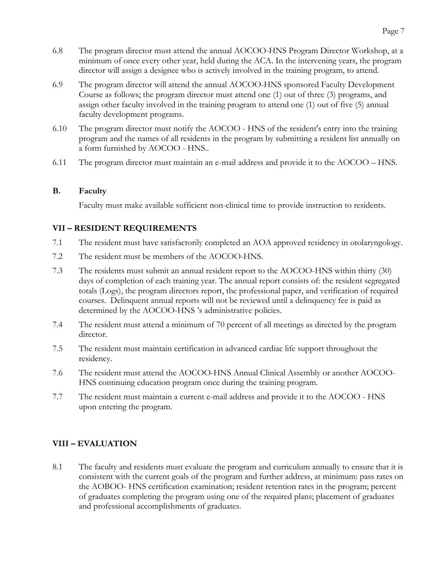- 6.8 The program director must attend the annual AOCOO-HNS Program Director Workshop, at a minimum of once every other year, held during the ACA. In the intervening years, the program director will assign a designee who is actively involved in the training program, to attend.
- 6.9 The program director will attend the annual AOCOO-HNS sponsored Faculty Development Course as follows; the program director must attend one (1) out of three (3) programs, and assign other faculty involved in the training program to attend one (1) out of five (5) annual faculty development programs.
- 6.10 The program director must notify the AOCOO HNS of the resident's entry into the training program and the names of all residents in the program by submitting a resident list annually on a form furnished by AOCOO - HNS..
- 6.11 The program director must maintain an e-mail address and provide it to the AOCOO HNS.

#### **B. Faculty**

Faculty must make available sufficient non-clinical time to provide instruction to residents.

#### **VII – RESIDENT REQUIREMENTS**

- 7.1 The resident must have satisfactorily completed an AOA approved residency in otolaryngology.
- 7.2 The resident must be members of the AOCOO-HNS.
- 7.3 The residents must submit an annual resident report to the AOCOO-HNS within thirty (30) days of completion of each training year. The annual report consists of: the resident segregated totals (Logs), the program directors report, the professional paper, and verification of required courses. Delinquent annual reports will not be reviewed until a delinquency fee is paid as determined by the AOCOO-HNS 's administrative policies.
- 7.4 The resident must attend a minimum of 70 percent of all meetings as directed by the program director.
- 7.5 The resident must maintain certification in advanced cardiac life support throughout the residency.
- 7.6 The resident must attend the AOCOO-HNS Annual Clinical Assembly or another AOCOO-HNS continuing education program once during the training program.
- 7.7 The resident must maintain a current e-mail address and provide it to the AOCOO HNS upon entering the program.

#### **VIII – EVALUATION**

8.1 The faculty and residents must evaluate the program and curriculum annually to ensure that it is consistent with the current goals of the program and further address, at minimum: pass rates on the AOBOO- HNS certification examination; resident retention rates in the program; percent of graduates completing the program using one of the required plans; placement of graduates and professional accomplishments of graduates.